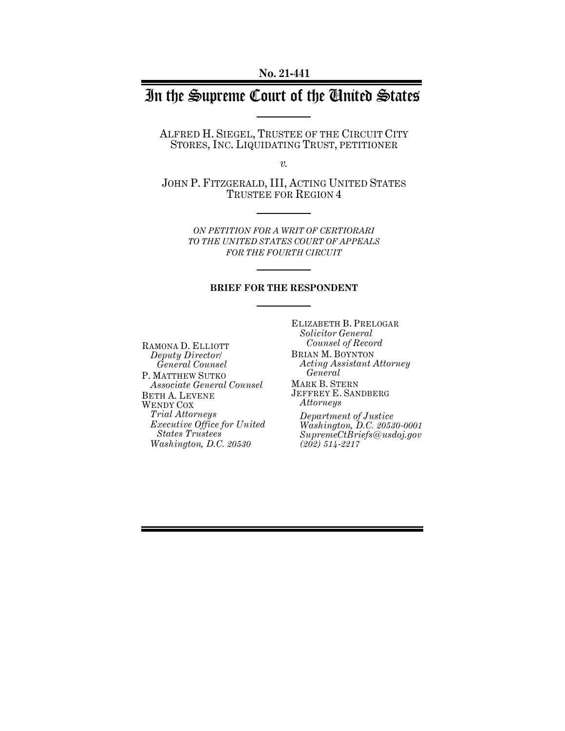# In the Supreme Court of the United States

ALFRED H. SIEGEL, TRUSTEE OF THE CIRCUIT CITY STORES, INC. LIQUIDATING TRUST, PETITIONER

*v.*

JOHN P. FITZGERALD, III, ACTING UNITED STATES TRUSTEE FOR REGION 4

> *ON PETITION FOR A WRIT OF CERTIORARI TO THE UNITED STATES COURT OF APPEALS FOR THE FOURTH CIRCUIT*

#### **BRIEF FOR THE RESPONDENT**

RAMONA D. ELLIOTT *Deputy Director/ General Counsel* P. MATTHEW SUTKO *Associate General Counsel* BETH A. LEVENE WENDY COX *Trial Attorneys Executive Office for United States Trustees Washington, D.C. 20530*

ELIZABETH B. PRELOGAR *Solicitor General Counsel of Record* BRIAN M. BOYNTON *Acting Assistant Attorney General* MARK B. STERN JEFFREY E. SANDBERG *Attorneys*

*Department of Justice Washington, D.C. 20530-0001 SupremeCtBriefs@usdoj.gov (202) 514-2217*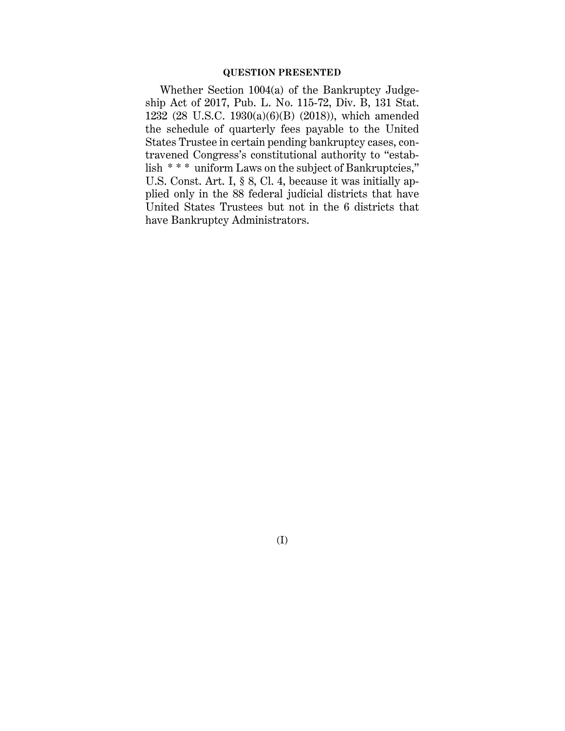#### **QUESTION PRESENTED**

Whether Section 1004(a) of the Bankruptcy Judgeship Act of 2017, Pub. L. No. 115-72, Div. B, 131 Stat. 1232 (28 U.S.C. 1930(a)(6)(B) (2018)), which amended the schedule of quarterly fees payable to the United States Trustee in certain pending bankruptcy cases, contravened Congress's constitutional authority to "establish \* \* \* uniform Laws on the subject of Bankruptcies," U.S. Const. Art. I, § 8, Cl. 4, because it was initially applied only in the 88 federal judicial districts that have United States Trustees but not in the 6 districts that have Bankruptcy Administrators.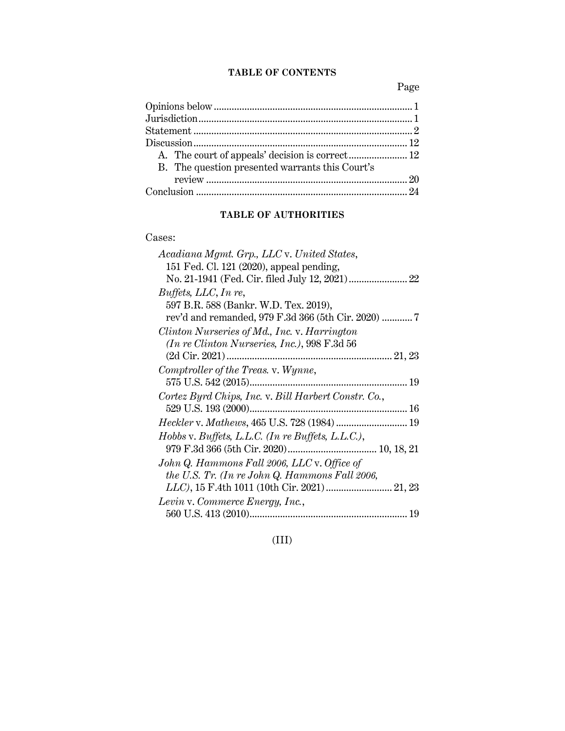## **TABLE OF CONTENTS**

Page

| B. The question presented warrants this Court's |  |
|-------------------------------------------------|--|
|                                                 |  |
|                                                 |  |

## **TABLE OF AUTHORITIES**

### Cases:

| Acadiana Mgmt. Grp., LLC v. United States,           |
|------------------------------------------------------|
| 151 Fed. Cl. 121 (2020), appeal pending,             |
|                                                      |
| Buffets, LLC, In re,                                 |
| 597 B.R. 588 (Bankr. W.D. Tex. 2019),                |
|                                                      |
| Clinton Nurseries of Md., Inc. v. Harrington         |
| (In re Clinton Nurseries, Inc.), 998 F.3d 56         |
|                                                      |
| Comptroller of the Treas. v. Wynne,                  |
|                                                      |
| Cortez Byrd Chips, Inc. v. Bill Harbert Constr. Co., |
|                                                      |
| Heckler v. Mathews, 465 U.S. 728 (1984)  19          |
| Hobbs v. Buffets, L.L.C. (In re Buffets, L.L.C.),    |
|                                                      |
| John Q. Hammons Fall 2006, LLC v. Office of          |
| the U.S. Tr. (In re John Q. Hammons Fall 2006,       |
| LLC), 15 F.4th 1011 (10th Cir. 2021)  21, 23         |
| Levin v. Commerce Energy, Inc.,                      |
|                                                      |

(III)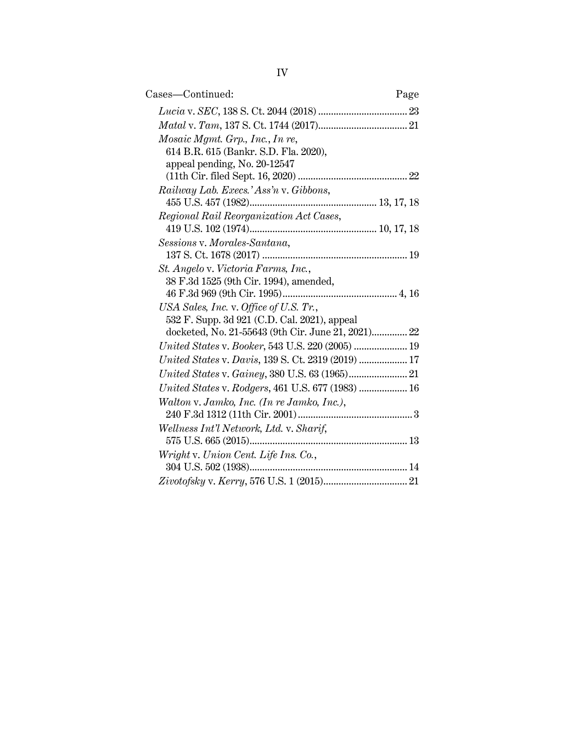| Cases—Continued:<br>Page                                                                                                                     |
|----------------------------------------------------------------------------------------------------------------------------------------------|
|                                                                                                                                              |
|                                                                                                                                              |
| Mosaic Mgmt. Grp., Inc., In re,<br>614 B.R. 615 (Bankr. S.D. Fla. 2020),<br>appeal pending, No. 20-12547                                     |
| Railway Lab. Execs.' Ass'n v. Gibbons,                                                                                                       |
| Regional Rail Reorganization Act Cases,                                                                                                      |
| Sessions v. Morales-Santana,                                                                                                                 |
| St. Angelo v. Victoria Farms, Inc.,<br>38 F.3d 1525 (9th Cir. 1994), amended,                                                                |
| USA Sales, Inc. v. Office of U.S. Tr.,<br>532 F. Supp. 3d 921 (C.D. Cal. 2021), appeal<br>docketed, No. 21-55643 (9th Cir. June 21, 2021) 22 |
| United States v. Booker, 543 U.S. 220 (2005)  19                                                                                             |
| United States v. Davis, 139 S. Ct. 2319 (2019)  17                                                                                           |
|                                                                                                                                              |
| United States v. Rodgers, 461 U.S. 677 (1983)  16                                                                                            |
| Walton v. Jamko, Inc. (In re Jamko, Inc.),                                                                                                   |
| Wellness Int'l Network, Ltd. v. Sharif,                                                                                                      |
| Wright v. Union Cent. Life Ins. Co.,                                                                                                         |
|                                                                                                                                              |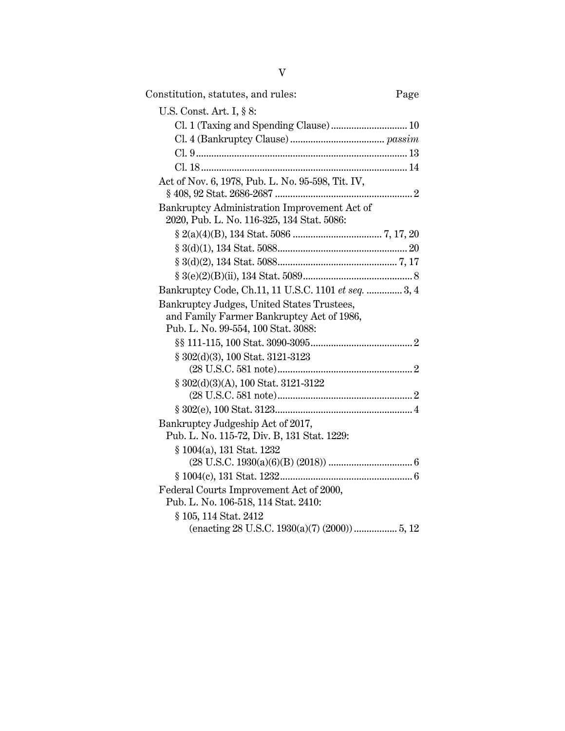| Constitution, statutes, and rules:                                                                                             | Page |
|--------------------------------------------------------------------------------------------------------------------------------|------|
| U.S. Const. Art. I, § 8:                                                                                                       |      |
| Cl. 1 (Taxing and Spending Clause) 10                                                                                          |      |
|                                                                                                                                |      |
|                                                                                                                                |      |
|                                                                                                                                |      |
| Act of Nov. 6, 1978, Pub. L. No. 95-598, Tit. IV,                                                                              |      |
| Bankruptcy Administration Improvement Act of<br>2020, Pub. L. No. 116-325, 134 Stat. 5086:                                     |      |
|                                                                                                                                |      |
|                                                                                                                                |      |
|                                                                                                                                |      |
|                                                                                                                                |      |
| Bankruptcy Code, Ch.11, 11 U.S.C. 1101 et seq.  3, 4                                                                           |      |
| Bankruptcy Judges, United States Trustees,<br>and Family Farmer Bankruptcy Act of 1986,<br>Pub. L. No. 99-554, 100 Stat. 3088: |      |
|                                                                                                                                |      |
| § 302(d)(3), 100 Stat. 3121-3123                                                                                               |      |
|                                                                                                                                |      |
| $\S~302(d)(3)(A),$ 100 Stat. 3121-3122                                                                                         |      |
|                                                                                                                                |      |
|                                                                                                                                |      |
| Bankruptcy Judgeship Act of 2017,                                                                                              |      |
| Pub. L. No. 115-72, Div. B, 131 Stat. 1229:                                                                                    |      |
| § 1004(a), 131 Stat. 1232                                                                                                      |      |
|                                                                                                                                |      |
| Federal Courts Improvement Act of 2000,                                                                                        |      |
| Pub. L. No. 106-518, 114 Stat. 2410:                                                                                           |      |
| § 105, 114 Stat. 2412                                                                                                          |      |
|                                                                                                                                |      |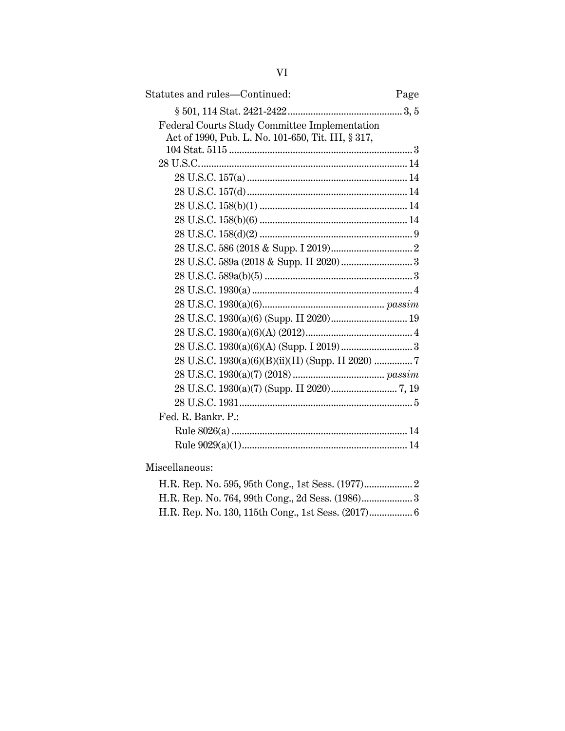| Statutes and rules-Continued:                      | Page |
|----------------------------------------------------|------|
|                                                    |      |
| Federal Courts Study Committee Implementation      |      |
| Act of 1990, Pub. L. No. 101-650, Tit. III, § 317, |      |
|                                                    |      |
|                                                    |      |
|                                                    |      |
|                                                    |      |
|                                                    |      |
|                                                    |      |
|                                                    |      |
|                                                    |      |
|                                                    |      |
|                                                    |      |
|                                                    |      |
|                                                    |      |
|                                                    |      |
|                                                    |      |
|                                                    |      |
|                                                    |      |
|                                                    |      |
|                                                    |      |
|                                                    |      |
| Fed. R. Bankr. P.:                                 |      |
|                                                    |      |
|                                                    |      |
|                                                    |      |

Miscellaneous:

|  |  |  |  | H.R. Rep. No. 764, 99th Cong., 2d Sess. (1986) 3 |
|--|--|--|--|--------------------------------------------------|
|  |  |  |  |                                                  |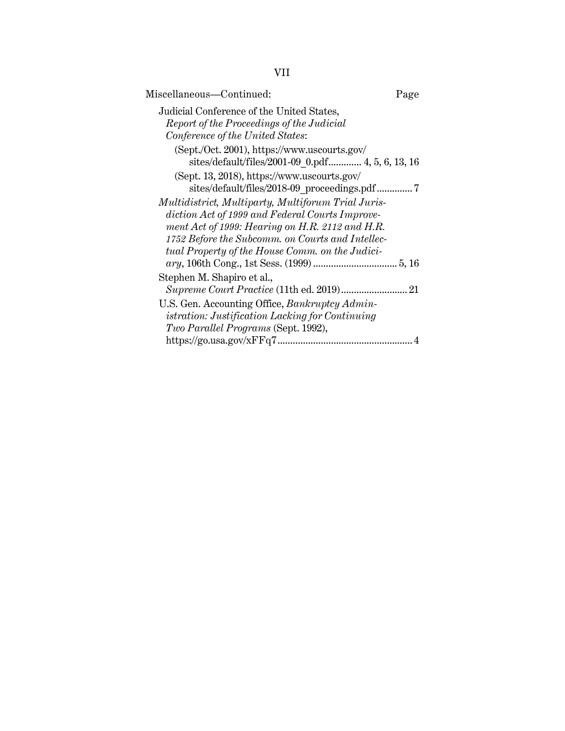VII

| Miscellaneous-Continued:                                                                                                                                                                                     | Page |
|--------------------------------------------------------------------------------------------------------------------------------------------------------------------------------------------------------------|------|
| Judicial Conference of the United States,<br>Report of the Proceedings of the Judicial<br>Conference of the United States:                                                                                   |      |
| (Sept./Oct. 2001), https://www.uscourts.gov/<br>sites/default/files/2001-09 0.pdf 4, 5, 6, 13, 16                                                                                                            |      |
| (Sept. 13, 2018), https://www.uscourts.gov/                                                                                                                                                                  |      |
| Multidistrict, Multiparty, Multiforum Trial Juris-<br>diction Act of 1999 and Federal Courts Improve-<br>ment Act of 1999: Hearing on H.R. 2112 and H.R.<br>1752 Before the Subcomm. on Courts and Intellec- |      |
| tual Property of the House Comm. on the Judici-                                                                                                                                                              |      |
| Stephen M. Shapiro et al.,                                                                                                                                                                                   |      |
| U.S. Gen. Accounting Office, Bankruptcy Admin-<br><i>istration: Justification Lacking for Continuing</i><br>Two Parallel Programs (Sept. 1992),                                                              |      |
|                                                                                                                                                                                                              |      |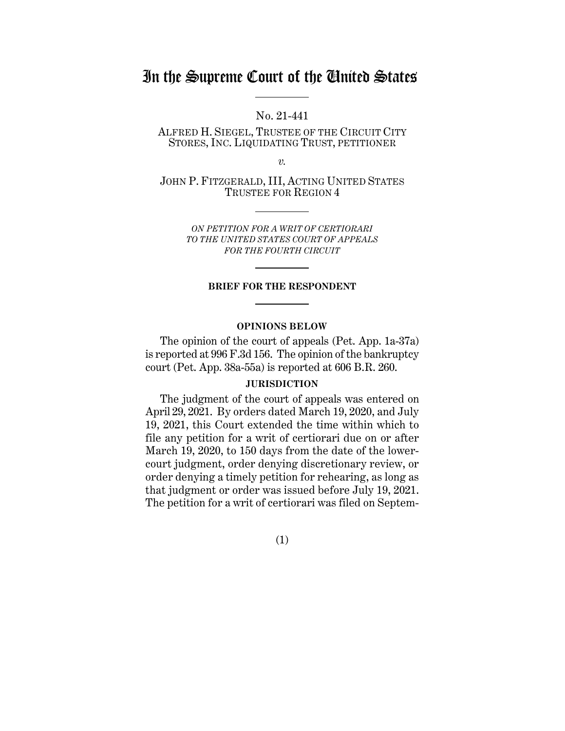## In the Supreme Court of the United States

No. 21-441

ALFRED H. SIEGEL, TRUSTEE OF THE CIRCUIT CITY STORES, INC. LIQUIDATING TRUST, PETITIONER

*v.*

JOHN P. FITZGERALD, III, ACTING UNITED STATES TRUSTEE FOR REGION 4

> *ON PETITION FOR A WRIT OF CERTIORARI TO THE UNITED STATES COURT OF APPEALS FOR THE FOURTH CIRCUIT*

#### **BRIEF FOR THE RESPONDENT**

#### **OPINIONS BELOW**

The opinion of the court of appeals (Pet. App. 1a-37a) is reported at 996 F.3d 156. The opinion of the bankruptcy court (Pet. App. 38a-55a) is reported at 606 B.R. 260.

#### **JURISDICTION**

The judgment of the court of appeals was entered on April 29, 2021. By orders dated March 19, 2020, and July 19, 2021, this Court extended the time within which to file any petition for a writ of certiorari due on or after March 19, 2020, to 150 days from the date of the lowercourt judgment, order denying discretionary review, or order denying a timely petition for rehearing, as long as that judgment or order was issued before July 19, 2021. The petition for a writ of certiorari was filed on Septem-

(1)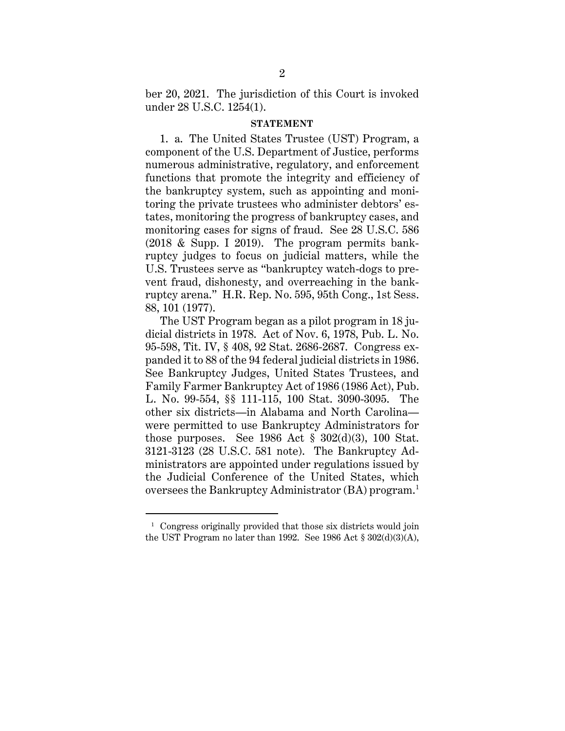ber 20, 2021. The jurisdiction of this Court is invoked under 28 U.S.C. 1254(1).

#### **STATEMENT**

1. a. The United States Trustee (UST) Program, a component of the U.S. Department of Justice, performs numerous administrative, regulatory, and enforcement functions that promote the integrity and efficiency of the bankruptcy system, such as appointing and monitoring the private trustees who administer debtors' estates, monitoring the progress of bankruptcy cases, and monitoring cases for signs of fraud. See 28 U.S.C. 586 (2018 & Supp. I 2019). The program permits bankruptcy judges to focus on judicial matters, while the U.S. Trustees serve as "bankruptcy watch-dogs to prevent fraud, dishonesty, and overreaching in the bankruptcy arena." H.R. Rep. No. 595, 95th Cong., 1st Sess. 88, 101 (1977).

The UST Program began as a pilot program in 18 judicial districts in 1978. Act of Nov. 6, 1978, Pub. L. No. 95-598, Tit. IV, § 408, 92 Stat. 2686-2687. Congress expanded it to 88 of the 94 federal judicial districts in 1986. See Bankruptcy Judges, United States Trustees, and Family Farmer Bankruptcy Act of 1986 (1986 Act), Pub. L. No. 99-554, §§ 111-115, 100 Stat. 3090-3095. The other six districts—in Alabama and North Carolina were permitted to use Bankruptcy Administrators for those purposes. See  $1986$  Act  $\S 302(d)(3)$ , 100 Stat. 3121-3123 (28 U.S.C. 581 note). The Bankruptcy Administrators are appointed under regulations issued by the Judicial Conference of the United States, which oversees the Bankruptcy Administrator (BA) program. 1

<sup>&</sup>lt;sup>1</sup> Congress originally provided that those six districts would join the UST Program no later than 1992. See 1986 Act § 302(d)(3)(A),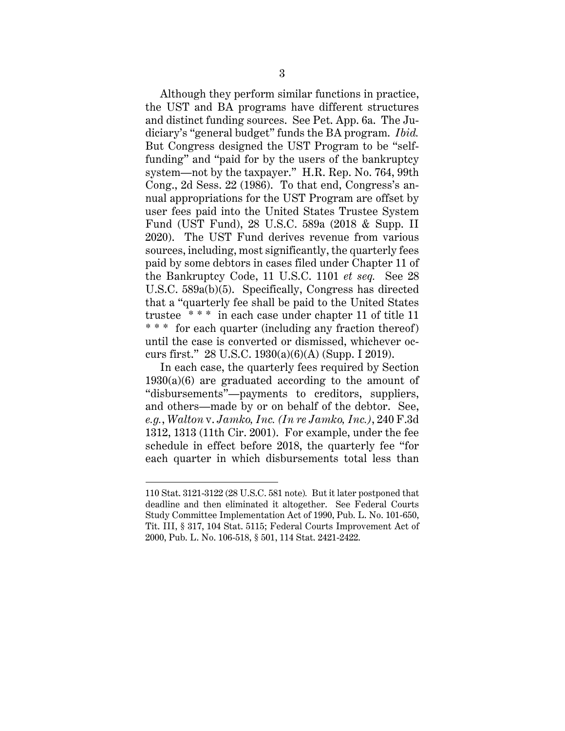Although they perform similar functions in practice, the UST and BA programs have different structures and distinct funding sources. See Pet. App. 6a. The Judiciary's "general budget" funds the BA program. *Ibid.* But Congress designed the UST Program to be "selffunding" and "paid for by the users of the bankruptcy system—not by the taxpayer." H.R. Rep. No. 764, 99th Cong., 2d Sess. 22 (1986). To that end, Congress's annual appropriations for the UST Program are offset by user fees paid into the United States Trustee System Fund (UST Fund), 28 U.S.C. 589a (2018 & Supp. II 2020). The UST Fund derives revenue from various sources, including, most significantly, the quarterly fees paid by some debtors in cases filed under Chapter 11 of the Bankruptcy Code, 11 U.S.C. 1101 *et seq.* See 28 U.S.C. 589a(b)(5). Specifically, Congress has directed that a "quarterly fee shall be paid to the United States trustee \* \* \* in each case under chapter 11 of title 11 \* \* \* for each quarter (including any fraction thereof) until the case is converted or dismissed, whichever occurs first." 28 U.S.C. 1930(a)(6)(A) (Supp. I 2019).

In each case, the quarterly fees required by Section  $1930(a)(6)$  are graduated according to the amount of "disbursements"—payments to creditors, suppliers, and others—made by or on behalf of the debtor. See, *e.g.*, *Walton* v. *Jamko, Inc. (In re Jamko, Inc.)*, 240 F.3d 1312, 1313 (11th Cir. 2001). For example, under the fee schedule in effect before 2018, the quarterly fee "for each quarter in which disbursements total less than

<sup>110</sup> Stat. 3121-3122 (28 U.S.C. 581 note)*.* But it later postponed that deadline and then eliminated it altogether. See Federal Courts Study Committee Implementation Act of 1990, Pub. L. No. 101-650, Tit. III, § 317, 104 Stat. 5115; Federal Courts Improvement Act of 2000, Pub. L. No. 106-518, § 501, 114 Stat. 2421-2422.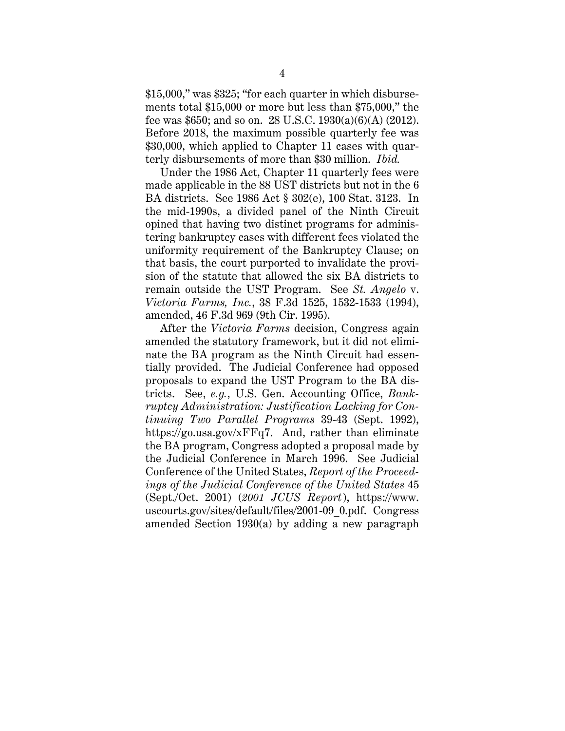\$15,000," was \$325; "for each quarter in which disbursements total \$15,000 or more but less than \$75,000," the fee was \$650; and so on. 28 U.S.C. 1930(a)(6)(A) (2012). Before 2018, the maximum possible quarterly fee was \$30,000, which applied to Chapter 11 cases with quarterly disbursements of more than \$30 million. *Ibid.*

Under the 1986 Act, Chapter 11 quarterly fees were made applicable in the 88 UST districts but not in the 6 BA districts. See 1986 Act § 302(e), 100 Stat. 3123. In the mid-1990s, a divided panel of the Ninth Circuit opined that having two distinct programs for administering bankruptcy cases with different fees violated the uniformity requirement of the Bankruptcy Clause; on that basis, the court purported to invalidate the provision of the statute that allowed the six BA districts to remain outside the UST Program. See *St. Angelo* v. *Victoria Farms, Inc.*, 38 F.3d 1525, 1532-1533 (1994), amended, 46 F.3d 969 (9th Cir. 1995).

After the *Victoria Farms* decision, Congress again amended the statutory framework, but it did not eliminate the BA program as the Ninth Circuit had essentially provided. The Judicial Conference had opposed proposals to expand the UST Program to the BA districts. See, *e.g.*, U.S. Gen. Accounting Office, *Bankruptcy Administration: Justification Lacking for Continuing Two Parallel Programs* 39-43 (Sept. 1992), https://go.usa.gov/xFFq7. And, rather than eliminate the BA program, Congress adopted a proposal made by the Judicial Conference in March 1996. See Judicial Conference of the United States, *Report of the Proceedings of the Judicial Conference of the United States* 45 (Sept./Oct. 2001) (*2001 JCUS Report*), https://www. uscourts.gov/sites/default/files/2001-09\_0.pdf. Congress amended Section 1930(a) by adding a new paragraph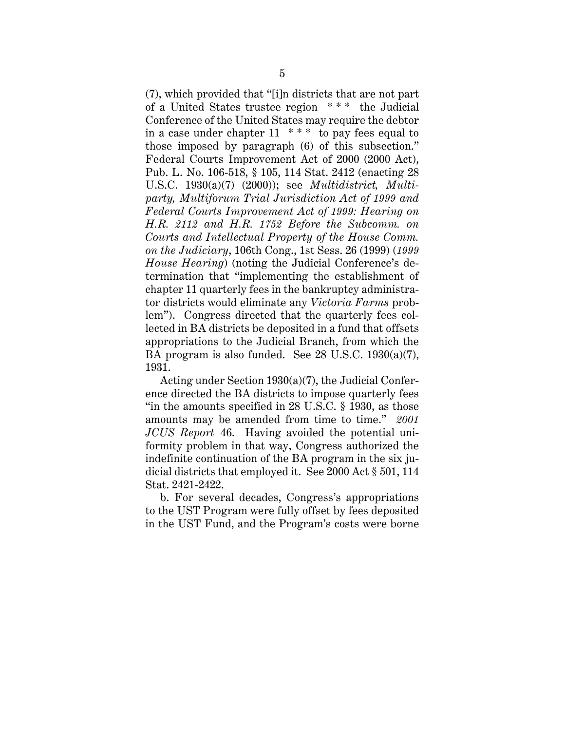(7), which provided that "[i]n districts that are not part of a United States trustee region \* \* \* the Judicial Conference of the United States may require the debtor in a case under chapter  $11 \cdot \cdot \cdot \cdot$  to pay fees equal to those imposed by paragraph (6) of this subsection." Federal Courts Improvement Act of 2000 (2000 Act), Pub. L. No. 106-518, § 105, 114 Stat. 2412 (enacting 28 U.S.C. 1930(a)(7) (2000)); see *Multidistrict, Multiparty, Multiforum Trial Jurisdiction Act of 1999 and Federal Courts Improvement Act of 1999: Hearing on H.R. 2112 and H.R. 1752 Before the Subcomm. on Courts and Intellectual Property of the House Comm. on the Judiciary*, 106th Cong., 1st Sess. 26 (1999) (*1999 House Hearing*) (noting the Judicial Conference's determination that "implementing the establishment of chapter 11 quarterly fees in the bankruptcy administrator districts would eliminate any *Victoria Farms* problem"). Congress directed that the quarterly fees collected in BA districts be deposited in a fund that offsets appropriations to the Judicial Branch, from which the BA program is also funded. See 28 U.S.C. 1930(a)(7), 1931.

Acting under Section 1930(a)(7), the Judicial Conference directed the BA districts to impose quarterly fees "in the amounts specified in 28 U.S.C. § 1930, as those amounts may be amended from time to time." *2001 JCUS Report* 46. Having avoided the potential uniformity problem in that way, Congress authorized the indefinite continuation of the BA program in the six judicial districts that employed it. See 2000 Act § 501, 114 Stat. 2421-2422.

b. For several decades, Congress's appropriations to the UST Program were fully offset by fees deposited in the UST Fund, and the Program's costs were borne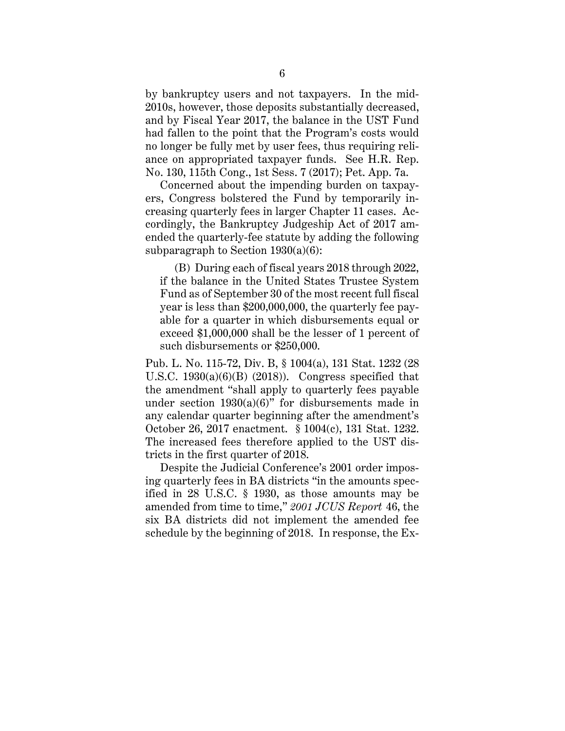by bankruptcy users and not taxpayers. In the mid-2010s, however, those deposits substantially decreased, and by Fiscal Year 2017, the balance in the UST Fund had fallen to the point that the Program's costs would no longer be fully met by user fees, thus requiring reliance on appropriated taxpayer funds. See H.R. Rep. No. 130, 115th Cong., 1st Sess. 7 (2017); Pet. App. 7a.

Concerned about the impending burden on taxpayers, Congress bolstered the Fund by temporarily increasing quarterly fees in larger Chapter 11 cases. Accordingly, the Bankruptcy Judgeship Act of 2017 amended the quarterly-fee statute by adding the following subparagraph to Section  $1930(a)(6)$ :

(B) During each of fiscal years 2018 through 2022, if the balance in the United States Trustee System Fund as of September 30 of the most recent full fiscal year is less than \$200,000,000, the quarterly fee payable for a quarter in which disbursements equal or exceed \$1,000,000 shall be the lesser of 1 percent of such disbursements or \$250,000.

Pub. L. No. 115-72, Div. B, § 1004(a), 131 Stat. 1232 (28 U.S.C.  $1930(a)(6)(B)$  (2018)). Congress specified that the amendment "shall apply to quarterly fees payable under section  $1930(a)(6)$ " for disbursements made in any calendar quarter beginning after the amendment's October 26, 2017 enactment. § 1004(c), 131 Stat. 1232. The increased fees therefore applied to the UST districts in the first quarter of 2018.

Despite the Judicial Conference's 2001 order imposing quarterly fees in BA districts "in the amounts specified in 28 U.S.C. § 1930, as those amounts may be amended from time to time," *2001 JCUS Report* 46, the six BA districts did not implement the amended fee schedule by the beginning of 2018. In response, the Ex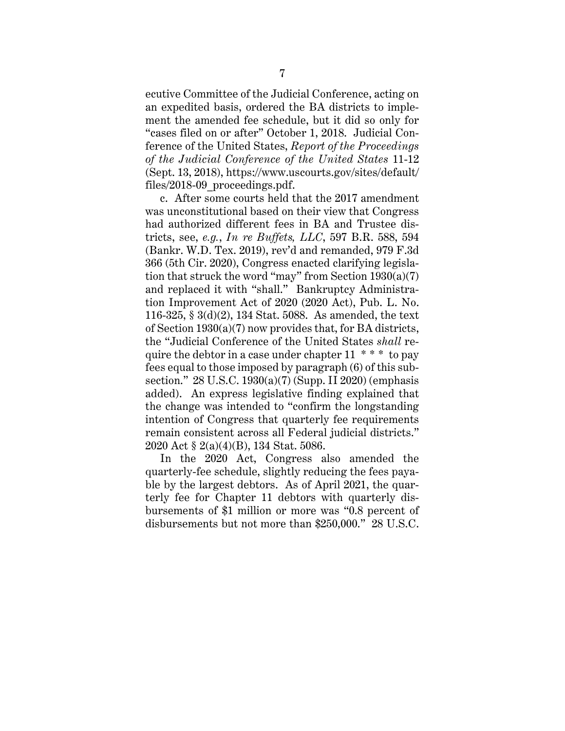ecutive Committee of the Judicial Conference, acting on an expedited basis, ordered the BA districts to implement the amended fee schedule, but it did so only for "cases filed on or after" October 1, 2018. Judicial Conference of the United States, *Report of the Proceedings of the Judicial Conference of the United States* 11-12 (Sept. 13, 2018), https://www.uscourts.gov/sites/default/ files/2018-09 proceedings.pdf.

c. After some courts held that the 2017 amendment was unconstitutional based on their view that Congress had authorized different fees in BA and Trustee districts, see, *e.g.*, *In re Buffets, LLC*, 597 B.R. 588, 594 (Bankr. W.D. Tex. 2019), rev'd and remanded, 979 F.3d 366 (5th Cir. 2020), Congress enacted clarifying legislation that struck the word "may" from Section  $1930(a)(7)$ and replaced it with "shall." Bankruptcy Administration Improvement Act of 2020 (2020 Act), Pub. L. No. 116-325, § 3(d)(2), 134 Stat. 5088. As amended, the text of Section 1930(a)(7) now provides that, for BA districts, the "Judicial Conference of the United States *shall* require the debtor in a case under chapter  $11 \cdot \cdot \cdot$  to pay fees equal to those imposed by paragraph (6) of this subsection." 28 U.S.C. 1930(a)(7) (Supp. II 2020) (emphasis added). An express legislative finding explained that the change was intended to "confirm the longstanding intention of Congress that quarterly fee requirements remain consistent across all Federal judicial districts." 2020 Act § 2(a)(4)(B), 134 Stat. 5086.

In the 2020 Act, Congress also amended the quarterly-fee schedule, slightly reducing the fees payable by the largest debtors. As of April 2021, the quarterly fee for Chapter 11 debtors with quarterly disbursements of \$1 million or more was "0.8 percent of disbursements but not more than \$250,000." 28 U.S.C.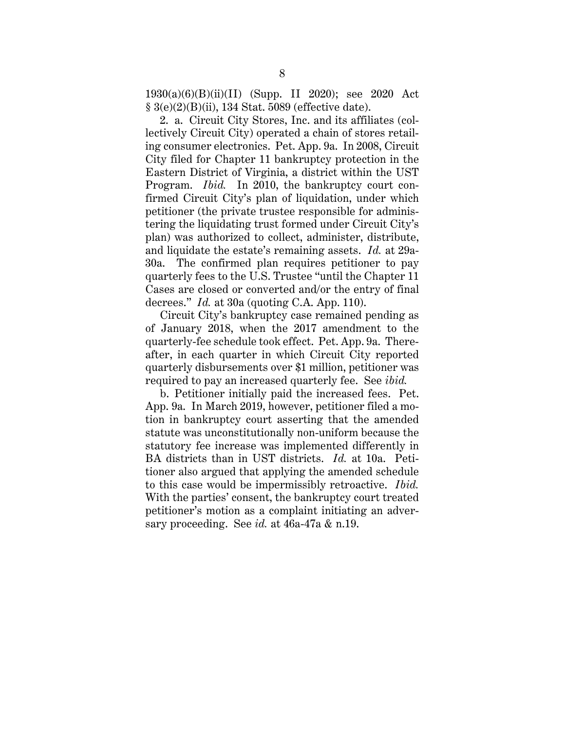1930(a)(6)(B)(ii)(II) (Supp. II 2020); see 2020 Act § 3(e)(2)(B)(ii), 134 Stat. 5089 (effective date).

2. a. Circuit City Stores, Inc. and its affiliates (collectively Circuit City) operated a chain of stores retailing consumer electronics. Pet. App. 9a. In 2008, Circuit City filed for Chapter 11 bankruptcy protection in the Eastern District of Virginia, a district within the UST Program. *Ibid.* In 2010, the bankruptcy court confirmed Circuit City's plan of liquidation, under which petitioner (the private trustee responsible for administering the liquidating trust formed under Circuit City's plan) was authorized to collect, administer, distribute, and liquidate the estate's remaining assets. *Id.* at 29a-30a. The confirmed plan requires petitioner to pay quarterly fees to the U.S. Trustee "until the Chapter 11 Cases are closed or converted and/or the entry of final decrees." *Id.* at 30a (quoting C.A. App. 110).

Circuit City's bankruptcy case remained pending as of January 2018, when the 2017 amendment to the quarterly-fee schedule took effect. Pet. App. 9a. Thereafter, in each quarter in which Circuit City reported quarterly disbursements over \$1 million, petitioner was required to pay an increased quarterly fee. See *ibid.*

b. Petitioner initially paid the increased fees. Pet. App. 9a. In March 2019, however, petitioner filed a motion in bankruptcy court asserting that the amended statute was unconstitutionally non-uniform because the statutory fee increase was implemented differently in BA districts than in UST districts. *Id.* at 10a. Petitioner also argued that applying the amended schedule to this case would be impermissibly retroactive. *Ibid.* With the parties' consent, the bankruptcy court treated petitioner's motion as a complaint initiating an adversary proceeding. See *id.* at 46a-47a & n.19.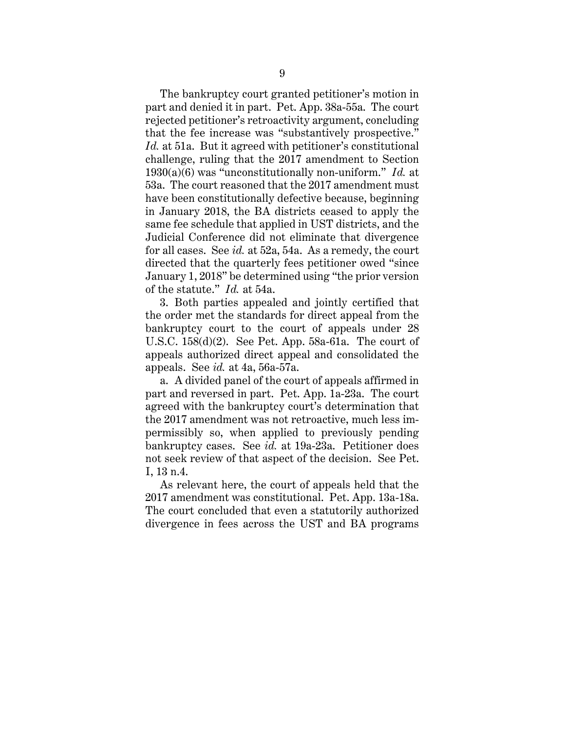The bankruptcy court granted petitioner's motion in part and denied it in part. Pet. App. 38a-55a. The court rejected petitioner's retroactivity argument, concluding that the fee increase was "substantively prospective." *Id.* at 51a. But it agreed with petitioner's constitutional challenge, ruling that the 2017 amendment to Section 1930(a)(6) was "unconstitutionally non-uniform." *Id.* at 53a. The court reasoned that the 2017 amendment must have been constitutionally defective because, beginning in January 2018, the BA districts ceased to apply the same fee schedule that applied in UST districts, and the Judicial Conference did not eliminate that divergence for all cases. See *id.* at 52a, 54a. As a remedy, the court directed that the quarterly fees petitioner owed "since January 1, 2018" be determined using "the prior version of the statute." *Id.* at 54a.

3. Both parties appealed and jointly certified that the order met the standards for direct appeal from the bankruptcy court to the court of appeals under 28 U.S.C. 158(d)(2). See Pet. App. 58a-61a. The court of appeals authorized direct appeal and consolidated the appeals. See *id.* at 4a, 56a-57a.

a. A divided panel of the court of appeals affirmed in part and reversed in part. Pet. App. 1a-23a. The court agreed with the bankruptcy court's determination that the 2017 amendment was not retroactive, much less impermissibly so, when applied to previously pending bankruptcy cases. See *id.* at 19a-23a. Petitioner does not seek review of that aspect of the decision. See Pet. I, 13 n.4.

As relevant here, the court of appeals held that the 2017 amendment was constitutional. Pet. App. 13a-18a. The court concluded that even a statutorily authorized divergence in fees across the UST and BA programs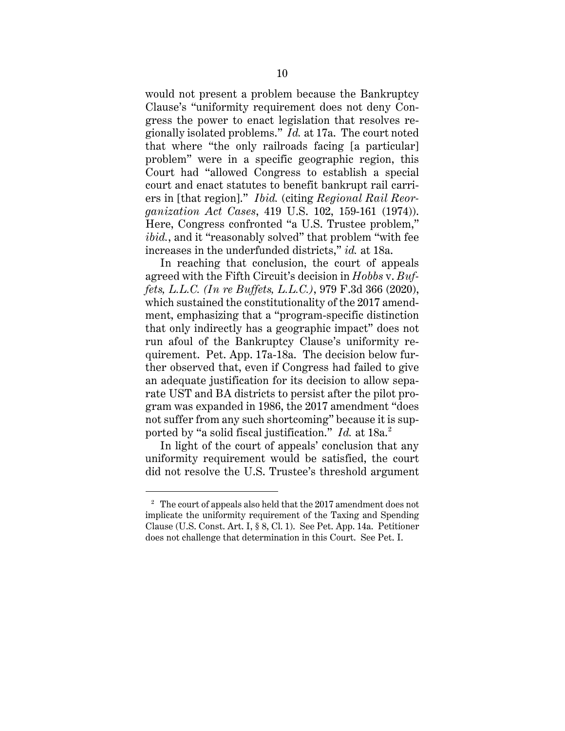would not present a problem because the Bankruptcy Clause's "uniformity requirement does not deny Congress the power to enact legislation that resolves regionally isolated problems." *Id.* at 17a. The court noted that where "the only railroads facing [a particular] problem" were in a specific geographic region, this Court had "allowed Congress to establish a special court and enact statutes to benefit bankrupt rail carriers in [that region]." *Ibid.* (citing *Regional Rail Reorganization Act Cases*, 419 U.S. 102, 159-161 (1974)). Here, Congress confronted "a U.S. Trustee problem," *ibid.*, and it "reasonably solved" that problem "with fee increases in the underfunded districts," *id.* at 18a.

In reaching that conclusion, the court of appeals agreed with the Fifth Circuit's decision in *Hobbs* v. *Buffets, L.L.C. (In re Buffets, L.L.C.)*, 979 F.3d 366 (2020), which sustained the constitutionality of the 2017 amendment, emphasizing that a "program-specific distinction that only indirectly has a geographic impact" does not run afoul of the Bankruptcy Clause's uniformity requirement. Pet. App. 17a-18a. The decision below further observed that, even if Congress had failed to give an adequate justification for its decision to allow separate UST and BA districts to persist after the pilot program was expanded in 1986, the 2017 amendment "does not suffer from any such shortcoming" because it is supported by "a solid fiscal justification." *Id.* at 18a.<sup>2</sup>

In light of the court of appeals' conclusion that any uniformity requirement would be satisfied, the court did not resolve the U.S. Trustee's threshold argument

<sup>&</sup>lt;sup>2</sup> The court of appeals also held that the 2017 amendment does not implicate the uniformity requirement of the Taxing and Spending Clause (U.S. Const. Art. I, § 8, Cl. 1). See Pet. App. 14a. Petitioner does not challenge that determination in this Court. See Pet. I.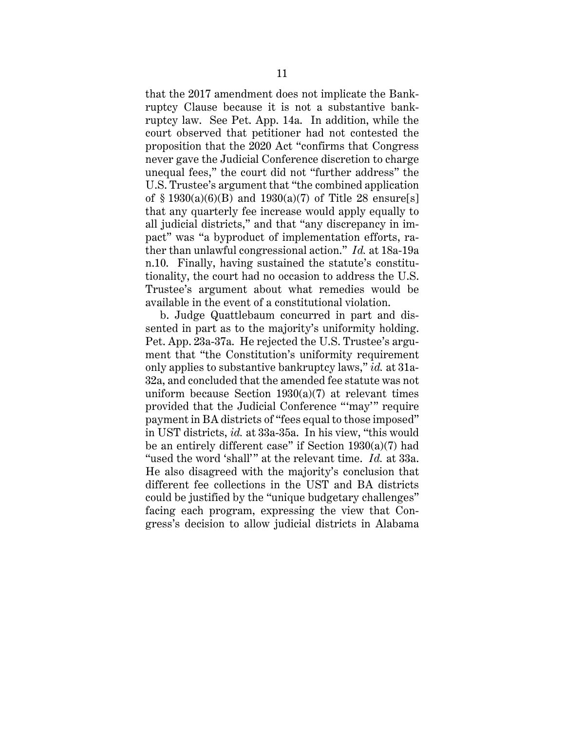that the 2017 amendment does not implicate the Bankruptcy Clause because it is not a substantive bankruptcy law. See Pet. App. 14a. In addition, while the court observed that petitioner had not contested the proposition that the 2020 Act "confirms that Congress never gave the Judicial Conference discretion to charge unequal fees," the court did not "further address" the U.S. Trustee's argument that "the combined application of  $\S 1930(a)(6)(B)$  and  $1930(a)(7)$  of Title 28 ensure[s] that any quarterly fee increase would apply equally to all judicial districts," and that "any discrepancy in impact" was "a byproduct of implementation efforts, rather than unlawful congressional action." *Id.* at 18a-19a n.10. Finally, having sustained the statute's constitutionality, the court had no occasion to address the U.S. Trustee's argument about what remedies would be available in the event of a constitutional violation.

b. Judge Quattlebaum concurred in part and dissented in part as to the majority's uniformity holding. Pet. App. 23a-37a. He rejected the U.S. Trustee's argument that "the Constitution's uniformity requirement only applies to substantive bankruptcy laws," *id.* at 31a-32a, and concluded that the amended fee statute was not uniform because Section 1930(a)(7) at relevant times provided that the Judicial Conference "'may'" require payment in BA districts of "fees equal to those imposed" in UST districts, *id.* at 33a-35a. In his view, "this would be an entirely different case" if Section  $1930(a)(7)$  had "used the word 'shall'" at the relevant time. *Id.* at 33a. He also disagreed with the majority's conclusion that different fee collections in the UST and BA districts could be justified by the "unique budgetary challenges" facing each program, expressing the view that Congress's decision to allow judicial districts in Alabama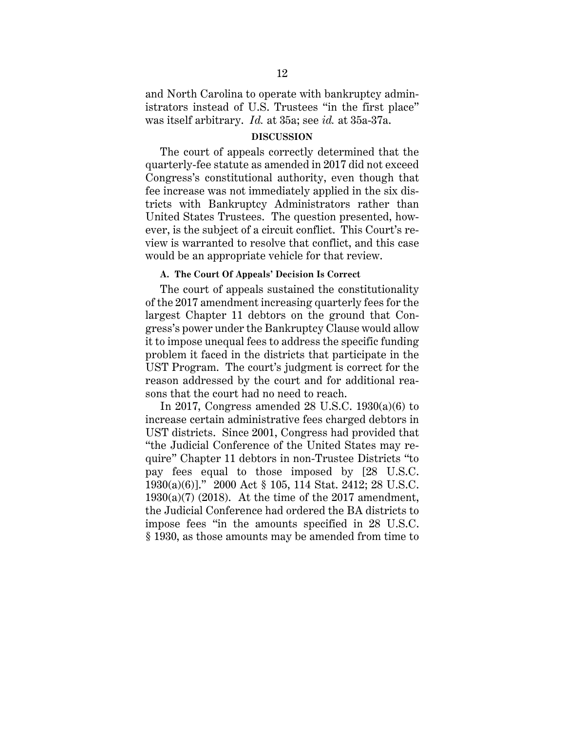and North Carolina to operate with bankruptcy administrators instead of U.S. Trustees "in the first place" was itself arbitrary. *Id.* at 35a; see *id.* at 35a-37a.

#### **DISCUSSION**

The court of appeals correctly determined that the quarterly-fee statute as amended in 2017 did not exceed Congress's constitutional authority, even though that fee increase was not immediately applied in the six districts with Bankruptcy Administrators rather than United States Trustees. The question presented, however, is the subject of a circuit conflict. This Court's review is warranted to resolve that conflict, and this case would be an appropriate vehicle for that review.

#### **A. The Court Of Appeals' Decision Is Correct**

The court of appeals sustained the constitutionality of the 2017 amendment increasing quarterly fees for the largest Chapter 11 debtors on the ground that Congress's power under the Bankruptcy Clause would allow it to impose unequal fees to address the specific funding problem it faced in the districts that participate in the UST Program. The court's judgment is correct for the reason addressed by the court and for additional reasons that the court had no need to reach.

In 2017, Congress amended 28 U.S.C. 1930(a)(6) to increase certain administrative fees charged debtors in UST districts. Since 2001, Congress had provided that "the Judicial Conference of the United States may require" Chapter 11 debtors in non-Trustee Districts "to pay fees equal to those imposed by [28 U.S.C. 1930(a)(6)]." 2000 Act § 105, 114 Stat. 2412; 28 U.S.C.  $1930(a)(7)$  (2018). At the time of the 2017 amendment, the Judicial Conference had ordered the BA districts to impose fees "in the amounts specified in 28 U.S.C. § 1930, as those amounts may be amended from time to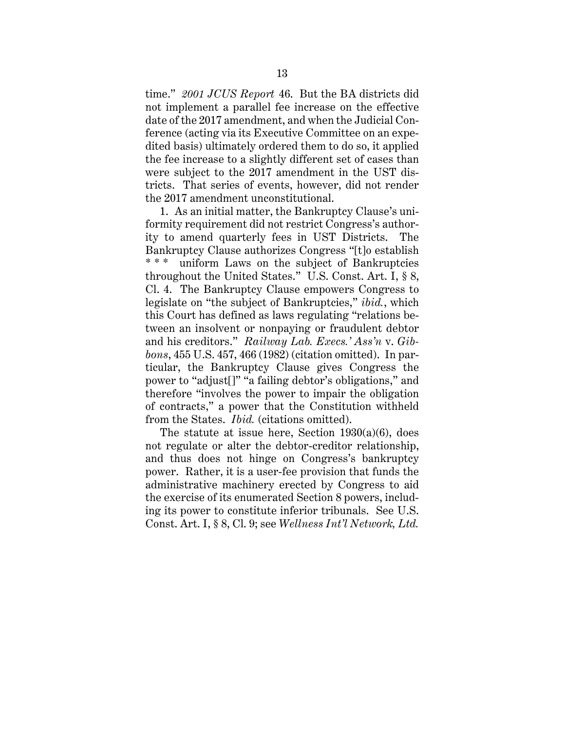time." *2001 JCUS Report* 46. But the BA districts did not implement a parallel fee increase on the effective date of the 2017 amendment, and when the Judicial Conference (acting via its Executive Committee on an expedited basis) ultimately ordered them to do so, it applied the fee increase to a slightly different set of cases than were subject to the 2017 amendment in the UST districts. That series of events, however, did not render the 2017 amendment unconstitutional.

1. As an initial matter, the Bankruptcy Clause's uniformity requirement did not restrict Congress's authority to amend quarterly fees in UST Districts. The Bankruptcy Clause authorizes Congress "[t]o establish \*\*\* uniform Laws on the subject of Bankruptcies throughout the United States." U.S. Const. Art. I, § 8, Cl. 4. The Bankruptcy Clause empowers Congress to legislate on "the subject of Bankruptcies," *ibid.*, which this Court has defined as laws regulating "relations between an insolvent or nonpaying or fraudulent debtor and his creditors." *Railway Lab. Execs.' Ass'n* v. *Gibbons*, 455 U.S. 457, 466 (1982) (citation omitted). In particular, the Bankruptcy Clause gives Congress the power to "adjust[]" "a failing debtor's obligations," and therefore "involves the power to impair the obligation of contracts," a power that the Constitution withheld from the States. *Ibid.* (citations omitted).

The statute at issue here, Section  $1930(a)(6)$ , does not regulate or alter the debtor-creditor relationship, and thus does not hinge on Congress's bankruptcy power. Rather, it is a user-fee provision that funds the administrative machinery erected by Congress to aid the exercise of its enumerated Section 8 powers, including its power to constitute inferior tribunals. See U.S. Const. Art. I, § 8, Cl. 9; see *Wellness Int'l Network, Ltd.*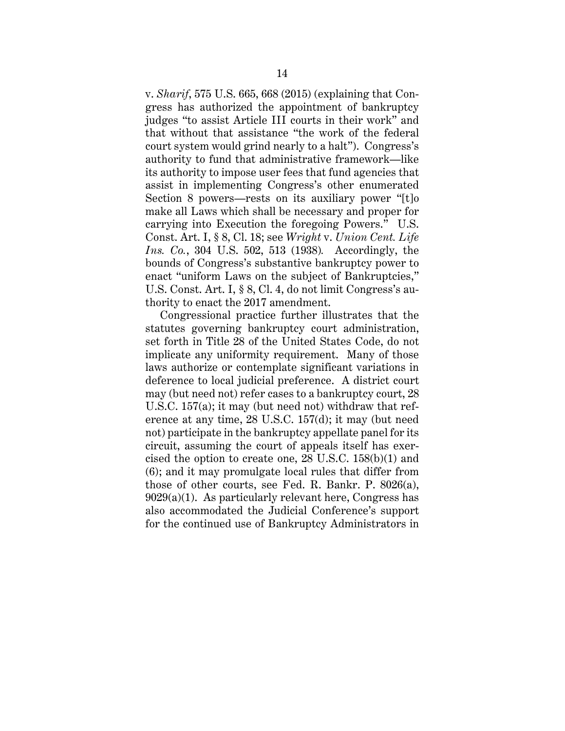v. *Sharif*, 575 U.S. 665, 668 (2015) (explaining that Congress has authorized the appointment of bankruptcy judges "to assist Article III courts in their work" and that without that assistance "the work of the federal court system would grind nearly to a halt"). Congress's authority to fund that administrative framework—like its authority to impose user fees that fund agencies that assist in implementing Congress's other enumerated Section 8 powers—rests on its auxiliary power "[t]o make all Laws which shall be necessary and proper for carrying into Execution the foregoing Powers." U.S. Const. Art. I, § 8, Cl. 18; see *Wright* v. *Union Cent. Life Ins. Co.*, 304 U.S. 502, 513 (1938)*.* Accordingly, the bounds of Congress's substantive bankruptcy power to enact "uniform Laws on the subject of Bankruptcies," U.S. Const. Art. I, § 8, Cl. 4, do not limit Congress's authority to enact the 2017 amendment.

Congressional practice further illustrates that the statutes governing bankruptcy court administration, set forth in Title 28 of the United States Code, do not implicate any uniformity requirement. Many of those laws authorize or contemplate significant variations in deference to local judicial preference. A district court may (but need not) refer cases to a bankruptcy court, 28 U.S.C. 157(a); it may (but need not) withdraw that reference at any time, 28 U.S.C. 157(d); it may (but need not) participate in the bankruptcy appellate panel for its circuit, assuming the court of appeals itself has exercised the option to create one, 28 U.S.C. 158(b)(1) and (6); and it may promulgate local rules that differ from those of other courts, see Fed. R. Bankr. P. 8026(a),  $9029(a)(1)$ . As particularly relevant here, Congress has also accommodated the Judicial Conference's support for the continued use of Bankruptcy Administrators in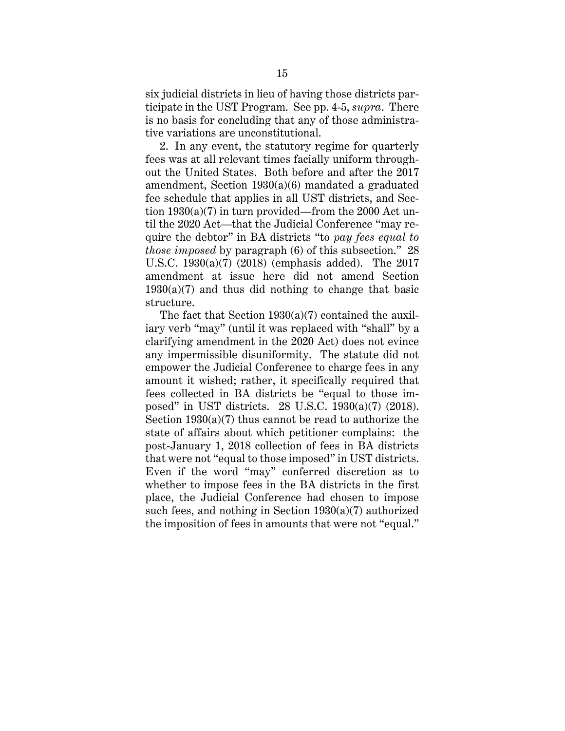six judicial districts in lieu of having those districts participate in the UST Program. See pp. 4-5, *supra*. There is no basis for concluding that any of those administrative variations are unconstitutional.

2. In any event, the statutory regime for quarterly fees was at all relevant times facially uniform throughout the United States. Both before and after the 2017 amendment, Section 1930(a)(6) mandated a graduated fee schedule that applies in all UST districts, and Section 1930(a)(7) in turn provided—from the 2000 Act until the 2020 Act—that the Judicial Conference "may require the debtor" in BA districts "to *pay fees equal to those imposed* by paragraph (6) of this subsection." 28 U.S.C. 1930(a)(7) (2018) (emphasis added). The 2017 amendment at issue here did not amend Section  $1930(a)(7)$  and thus did nothing to change that basic structure.

The fact that Section 1930(a)(7) contained the auxiliary verb "may" (until it was replaced with "shall" by a clarifying amendment in the 2020 Act) does not evince any impermissible disuniformity. The statute did not empower the Judicial Conference to charge fees in any amount it wished; rather, it specifically required that fees collected in BA districts be "equal to those imposed" in UST districts. 28 U.S.C. 1930(a)(7) (2018). Section 1930(a)(7) thus cannot be read to authorize the state of affairs about which petitioner complains: the post-January 1, 2018 collection of fees in BA districts that were not "equal to those imposed" in UST districts. Even if the word "may" conferred discretion as to whether to impose fees in the BA districts in the first place, the Judicial Conference had chosen to impose such fees, and nothing in Section 1930(a)(7) authorized the imposition of fees in amounts that were not "equal."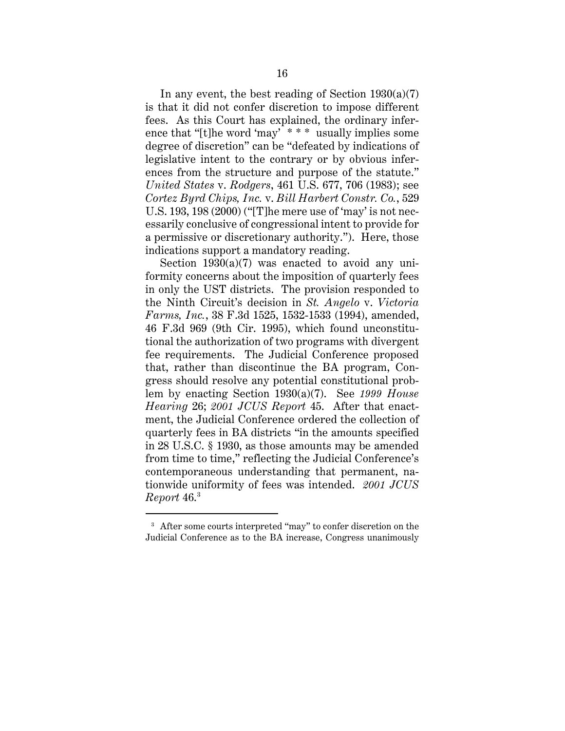In any event, the best reading of Section  $1930(a)(7)$ is that it did not confer discretion to impose different fees. As this Court has explained, the ordinary inference that "[t]he word 'may' \* \* \* usually implies some degree of discretion" can be "defeated by indications of legislative intent to the contrary or by obvious inferences from the structure and purpose of the statute." *United States* v. *Rodgers*, 461 U.S. 677, 706 (1983); see *Cortez Byrd Chips, Inc.* v. *Bill Harbert Constr. Co.*, 529 U.S. 193, 198 (2000) ("[T]he mere use of 'may' is not necessarily conclusive of congressional intent to provide for a permissive or discretionary authority."). Here, those indications support a mandatory reading.

Section  $1930(a)(7)$  was enacted to avoid any uniformity concerns about the imposition of quarterly fees in only the UST districts. The provision responded to the Ninth Circuit's decision in *St. Angelo* v. *Victoria Farms, Inc.*, 38 F.3d 1525, 1532-1533 (1994), amended, 46 F.3d 969 (9th Cir. 1995), which found unconstitutional the authorization of two programs with divergent fee requirements. The Judicial Conference proposed that, rather than discontinue the BA program, Congress should resolve any potential constitutional problem by enacting Section 1930(a)(7). See *1999 House Hearing* 26; *2001 JCUS Report* 45. After that enactment, the Judicial Conference ordered the collection of quarterly fees in BA districts "in the amounts specified in 28 U.S.C. § 1930, as those amounts may be amended from time to time," reflecting the Judicial Conference's contemporaneous understanding that permanent, nationwide uniformity of fees was intended. *2001 JCUS Report* 46.3

<sup>&</sup>lt;sup>3</sup> After some courts interpreted "may" to confer discretion on the Judicial Conference as to the BA increase, Congress unanimously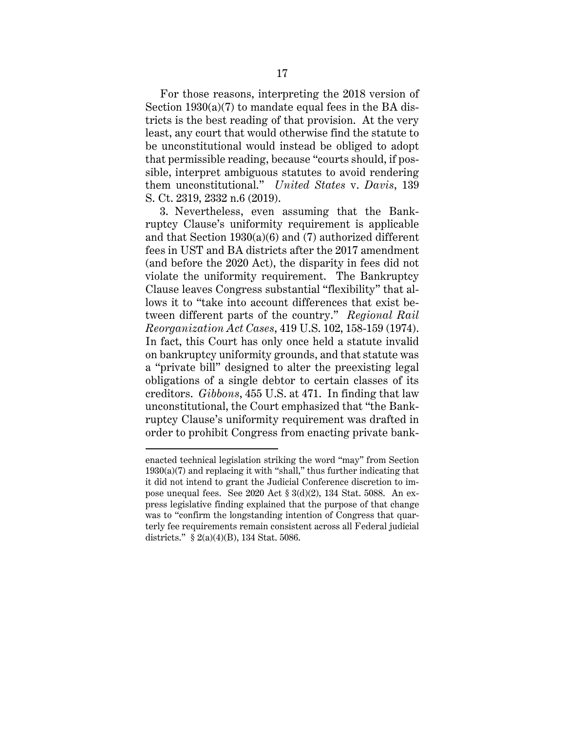For those reasons, interpreting the 2018 version of Section  $1930(a)(7)$  to mandate equal fees in the BA districts is the best reading of that provision. At the very least, any court that would otherwise find the statute to be unconstitutional would instead be obliged to adopt that permissible reading, because "courts should, if possible, interpret ambiguous statutes to avoid rendering them unconstitutional." *United States* v. *Davis*, 139 S. Ct. 2319, 2332 n.6 (2019).

3. Nevertheless, even assuming that the Bankruptcy Clause's uniformity requirement is applicable and that Section 1930(a)(6) and (7) authorized different fees in UST and BA districts after the 2017 amendment (and before the 2020 Act), the disparity in fees did not violate the uniformity requirement. The Bankruptcy Clause leaves Congress substantial "flexibility" that allows it to "take into account differences that exist between different parts of the country." *Regional Rail Reorganization Act Cases*, 419 U.S. 102, 158-159 (1974). In fact, this Court has only once held a statute invalid on bankruptcy uniformity grounds, and that statute was a "private bill" designed to alter the preexisting legal obligations of a single debtor to certain classes of its creditors. *Gibbons*, 455 U.S. at 471. In finding that law unconstitutional, the Court emphasized that "the Bankruptcy Clause's uniformity requirement was drafted in order to prohibit Congress from enacting private bank-

enacted technical legislation striking the word "may" from Section 1930(a)(7) and replacing it with "shall," thus further indicating that it did not intend to grant the Judicial Conference discretion to impose unequal fees. See 2020 Act § 3(d)(2), 134 Stat. 5088. An express legislative finding explained that the purpose of that change was to "confirm the longstanding intention of Congress that quarterly fee requirements remain consistent across all Federal judicial districts." § 2(a)(4)(B), 134 Stat. 5086.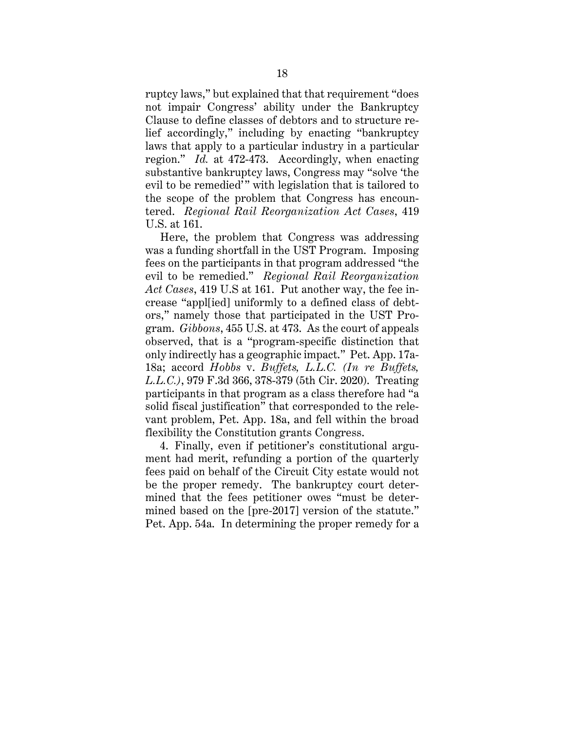ruptcy laws," but explained that that requirement "does not impair Congress' ability under the Bankruptcy Clause to define classes of debtors and to structure relief accordingly," including by enacting "bankruptcy laws that apply to a particular industry in a particular region." *Id.* at 472-473. Accordingly, when enacting substantive bankruptcy laws, Congress may "solve 'the evil to be remedied'" with legislation that is tailored to the scope of the problem that Congress has encountered. *Regional Rail Reorganization Act Cases*, 419 U.S. at 161.

Here, the problem that Congress was addressing was a funding shortfall in the UST Program. Imposing fees on the participants in that program addressed "the evil to be remedied." *Regional Rail Reorganization Act Cases*, 419 U.S at 161. Put another way, the fee increase "appl[ied] uniformly to a defined class of debtors," namely those that participated in the UST Program. *Gibbons*, 455 U.S. at 473. As the court of appeals observed, that is a "program-specific distinction that only indirectly has a geographic impact." Pet. App. 17a-18a; accord *Hobbs* v. *Buffets, L.L.C. (In re Buffets, L.L.C.)*, 979 F.3d 366, 378-379 (5th Cir. 2020). Treating participants in that program as a class therefore had "a solid fiscal justification" that corresponded to the relevant problem, Pet. App. 18a, and fell within the broad flexibility the Constitution grants Congress.

4. Finally, even if petitioner's constitutional argument had merit, refunding a portion of the quarterly fees paid on behalf of the Circuit City estate would not be the proper remedy. The bankruptcy court determined that the fees petitioner owes "must be determined based on the [pre-2017] version of the statute." Pet. App. 54a. In determining the proper remedy for a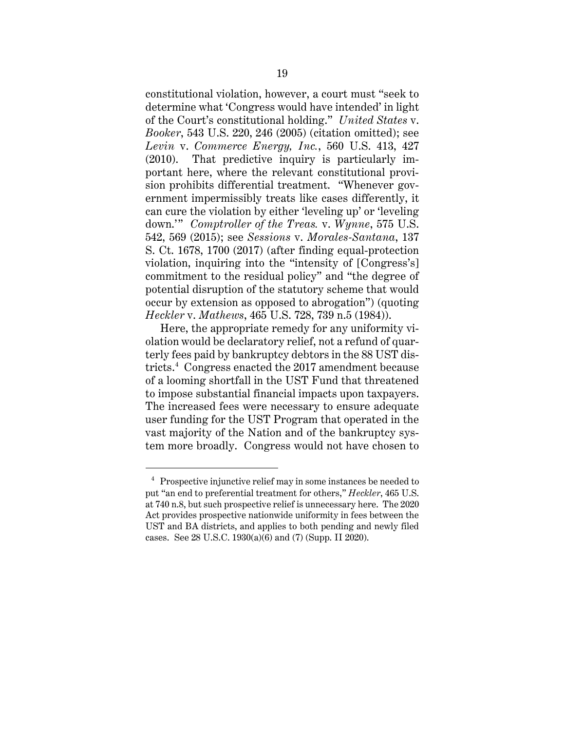constitutional violation, however, a court must "seek to determine what 'Congress would have intended' in light of the Court's constitutional holding." *United States* v. *Booker*, 543 U.S. 220, 246 (2005) (citation omitted); see *Levin* v. *Commerce Energy, Inc.*, 560 U.S. 413, 427 (2010). That predictive inquiry is particularly important here, where the relevant constitutional provision prohibits differential treatment. "Whenever government impermissibly treats like cases differently, it can cure the violation by either 'leveling up' or 'leveling down.'" *Comptroller of the Treas.* v. *Wynne*, 575 U.S. 542, 569 (2015); see *Sessions* v. *Morales-Santana*, 137 S. Ct. 1678, 1700 (2017) (after finding equal-protection violation, inquiring into the "intensity of [Congress's] commitment to the residual policy" and "the degree of potential disruption of the statutory scheme that would occur by extension as opposed to abrogation") (quoting *Heckler* v. *Mathews*, 465 U.S. 728, 739 n.5 (1984)).

Here, the appropriate remedy for any uniformity violation would be declaratory relief, not a refund of quarterly fees paid by bankruptcy debtors in the 88 UST districts.4 Congress enacted the 2017 amendment because of a looming shortfall in the UST Fund that threatened to impose substantial financial impacts upon taxpayers. The increased fees were necessary to ensure adequate user funding for the UST Program that operated in the vast majority of the Nation and of the bankruptcy system more broadly. Congress would not have chosen to

<sup>&</sup>lt;sup>4</sup> Prospective injunctive relief may in some instances be needed to put "an end to preferential treatment for others," *Heckler*, 465 U.S. at 740 n.8, but such prospective relief is unnecessary here. The 2020 Act provides prospective nationwide uniformity in fees between the UST and BA districts, and applies to both pending and newly filed cases. See 28 U.S.C. 1930(a)(6) and (7) (Supp. II 2020).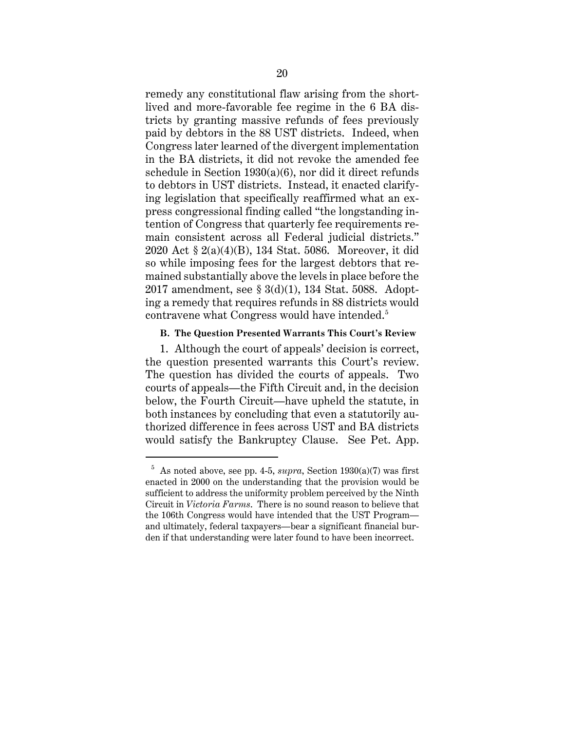remedy any constitutional flaw arising from the shortlived and more-favorable fee regime in the 6 BA districts by granting massive refunds of fees previously paid by debtors in the 88 UST districts. Indeed, when Congress later learned of the divergent implementation in the BA districts, it did not revoke the amended fee schedule in Section  $1930(a)(6)$ , nor did it direct refunds to debtors in UST districts. Instead, it enacted clarifying legislation that specifically reaffirmed what an express congressional finding called "the longstanding intention of Congress that quarterly fee requirements remain consistent across all Federal judicial districts." 2020 Act § 2(a)(4)(B), 134 Stat. 5086. Moreover, it did so while imposing fees for the largest debtors that remained substantially above the levels in place before the 2017 amendment, see § 3(d)(1), 134 Stat. 5088. Adopting a remedy that requires refunds in 88 districts would contravene what Congress would have intended. 5

#### **B. The Question Presented Warrants This Court's Review**

1. Although the court of appeals' decision is correct, the question presented warrants this Court's review. The question has divided the courts of appeals. Two courts of appeals—the Fifth Circuit and, in the decision below, the Fourth Circuit—have upheld the statute, in both instances by concluding that even a statutorily authorized difference in fees across UST and BA districts would satisfy the Bankruptcy Clause. See Pet. App.

 $5$  As noted above, see pp. 4-5, *supra*, Section 1930(a)(7) was first enacted in 2000 on the understanding that the provision would be sufficient to address the uniformity problem perceived by the Ninth Circuit in *Victoria Farms*. There is no sound reason to believe that the 106th Congress would have intended that the UST Program and ultimately, federal taxpayers—bear a significant financial burden if that understanding were later found to have been incorrect.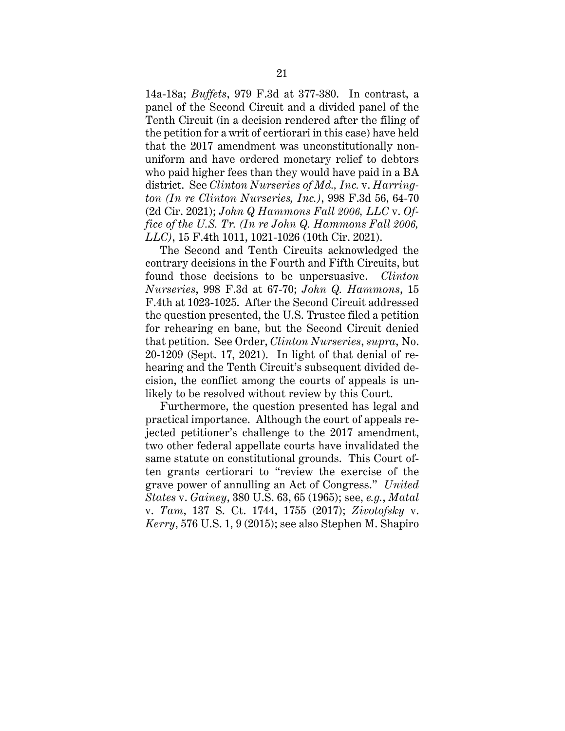14a-18a; *Buffets*, 979 F.3d at 377-380. In contrast, a panel of the Second Circuit and a divided panel of the Tenth Circuit (in a decision rendered after the filing of the petition for a writ of certiorari in this case) have held that the 2017 amendment was unconstitutionally nonuniform and have ordered monetary relief to debtors who paid higher fees than they would have paid in a BA district. See *Clinton Nurseries of Md., Inc.* v. *Harrington (In re Clinton Nurseries, Inc.)*, 998 F.3d 56, 64-70 (2d Cir. 2021); *John Q Hammons Fall 2006, LLC* v. *Office of the U.S. Tr. (In re John Q. Hammons Fall 2006, LLC)*, 15 F.4th 1011, 1021-1026 (10th Cir. 2021).

The Second and Tenth Circuits acknowledged the contrary decisions in the Fourth and Fifth Circuits, but found those decisions to be unpersuasive. *Clinton Nurseries*, 998 F.3d at 67-70; *John Q. Hammons*, 15 F.4th at 1023-1025. After the Second Circuit addressed the question presented, the U.S. Trustee filed a petition for rehearing en banc, but the Second Circuit denied that petition. See Order, *Clinton Nurseries*, *supra*, No. 20-1209 (Sept. 17, 2021). In light of that denial of rehearing and the Tenth Circuit's subsequent divided decision, the conflict among the courts of appeals is unlikely to be resolved without review by this Court.

Furthermore, the question presented has legal and practical importance. Although the court of appeals rejected petitioner's challenge to the 2017 amendment, two other federal appellate courts have invalidated the same statute on constitutional grounds. This Court often grants certiorari to "review the exercise of the grave power of annulling an Act of Congress." *United States* v. *Gainey*, 380 U.S. 63, 65 (1965); see, *e.g.*, *Matal* v. *Tam*, 137 S. Ct. 1744, 1755 (2017); *Zivotofsky* v. *Kerry*, 576 U.S. 1, 9 (2015); see also Stephen M. Shapiro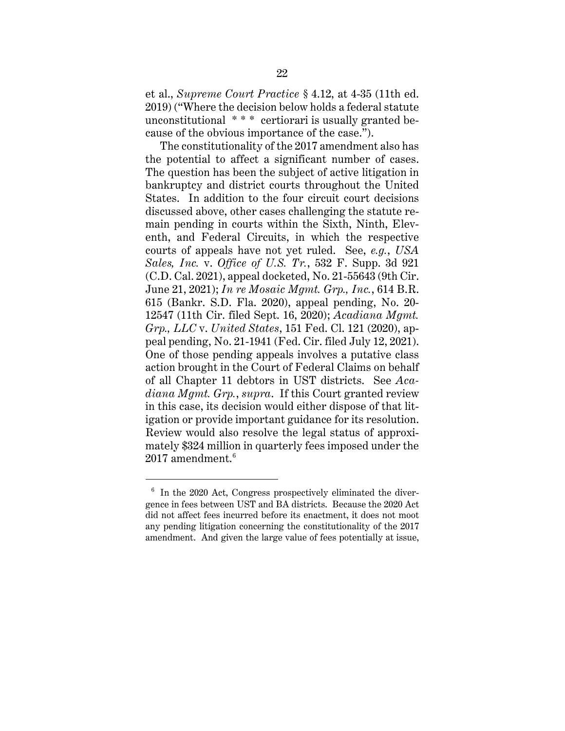et al., *Supreme Court Practice* § 4.12, at 4-35 (11th ed. 2019) ("Where the decision below holds a federal statute unconstitutional \* \* \* certiorari is usually granted because of the obvious importance of the case.").

The constitutionality of the 2017 amendment also has the potential to affect a significant number of cases. The question has been the subject of active litigation in bankruptcy and district courts throughout the United States. In addition to the four circuit court decisions discussed above, other cases challenging the statute remain pending in courts within the Sixth, Ninth, Eleventh, and Federal Circuits, in which the respective courts of appeals have not yet ruled. See, *e.g.*, *USA Sales, Inc.* v. *Office of U.S. Tr.*, 532 F. Supp. 3d 921 (C.D. Cal. 2021), appeal docketed, No. 21-55643 (9th Cir. June 21, 2021); *In re Mosaic Mgmt. Grp., Inc.*, 614 B.R. 615 (Bankr. S.D. Fla. 2020), appeal pending, No. 20- 12547 (11th Cir. filed Sept. 16, 2020); *Acadiana Mgmt. Grp., LLC* v. *United States*, 151 Fed. Cl. 121 (2020), appeal pending, No. 21-1941 (Fed. Cir. filed July 12, 2021). One of those pending appeals involves a putative class action brought in the Court of Federal Claims on behalf of all Chapter 11 debtors in UST districts. See *Acadiana Mgmt. Grp.*, *supra*. If this Court granted review in this case, its decision would either dispose of that litigation or provide important guidance for its resolution. Review would also resolve the legal status of approximately \$324 million in quarterly fees imposed under the  $2017$  amendment.<sup>6</sup>

<sup>6</sup> In the 2020 Act, Congress prospectively eliminated the divergence in fees between UST and BA districts. Because the 2020 Act did not affect fees incurred before its enactment, it does not moot any pending litigation concerning the constitutionality of the 2017 amendment. And given the large value of fees potentially at issue,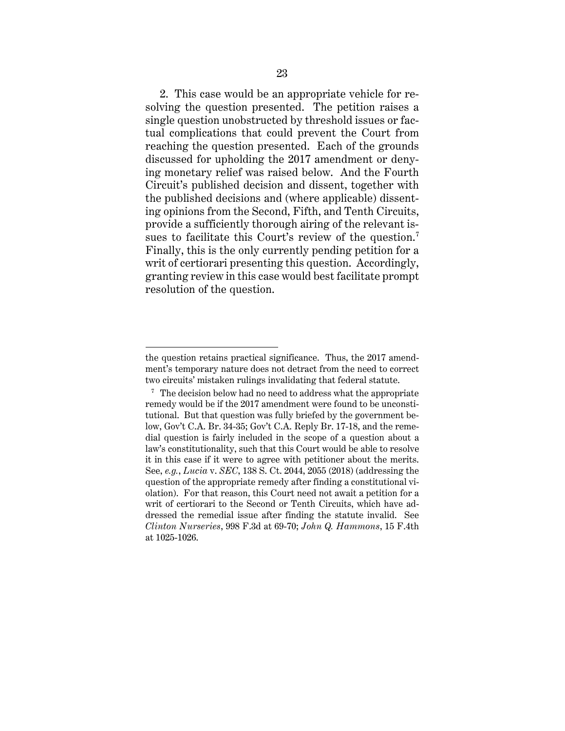2. This case would be an appropriate vehicle for resolving the question presented. The petition raises a single question unobstructed by threshold issues or factual complications that could prevent the Court from reaching the question presented. Each of the grounds discussed for upholding the 2017 amendment or denying monetary relief was raised below. And the Fourth Circuit's published decision and dissent, together with the published decisions and (where applicable) dissenting opinions from the Second, Fifth, and Tenth Circuits, provide a sufficiently thorough airing of the relevant issues to facilitate this Court's review of the question.<sup>7</sup> Finally, this is the only currently pending petition for a writ of certiorari presenting this question. Accordingly, granting review in this case would best facilitate prompt resolution of the question.

the question retains practical significance. Thus, the 2017 amendment's temporary nature does not detract from the need to correct two circuits' mistaken rulings invalidating that federal statute.

<sup>&</sup>lt;sup>7</sup> The decision below had no need to address what the appropriate remedy would be if the 2017 amendment were found to be unconstitutional. But that question was fully briefed by the government below, Gov't C.A. Br. 34-35; Gov't C.A. Reply Br. 17-18, and the remedial question is fairly included in the scope of a question about a law's constitutionality, such that this Court would be able to resolve it in this case if it were to agree with petitioner about the merits. See, *e.g.*, *Lucia* v. *SEC*, 138 S. Ct. 2044, 2055 (2018) (addressing the question of the appropriate remedy after finding a constitutional violation). For that reason, this Court need not await a petition for a writ of certiorari to the Second or Tenth Circuits, which have addressed the remedial issue after finding the statute invalid. See *Clinton Nurseries*, 998 F.3d at 69-70; *John Q. Hammons*, 15 F.4th at 1025-1026.